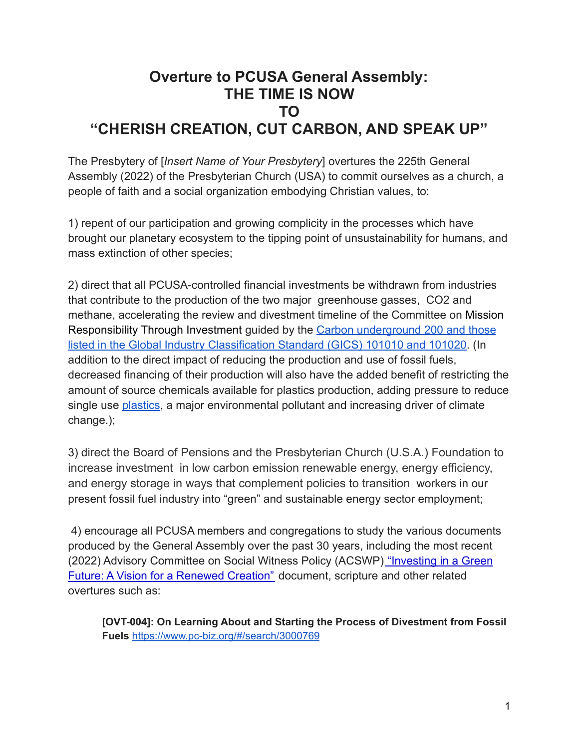## **Overture to PCUSA General Assembly: THE TIME IS NOW TO "CHERISH CREATION, CUT CARBON, AND SPEAK UP"**

The Presbytery of [*Insert Name of Your Presbytery*] overtures the 225th General Assembly (2022) of the Presbyterian Church (USA) to commit ourselves as a church, a people of faith and a social organization embodying Christian values, to:

1) repent of our participation and growing complicity in the processes which have brought our planetary ecosystem to the tipping point of unsustainability for humans, and mass extinction of other species;

2) direct that all PCUSA-controlled financial investments be withdrawn from industries that contribute to the production of the two major greenhouse gasses, CO2 and methane, accelerating the review and divestment timeline of the Committee on Mission Responsibility Through Investment guided by the Carbon [underground 200 and those](https://thepresbytery.org/wp-content/uploads/2021/03/Divestiture-Resolution-03232021.pdf) [listed in the Global Industry Classification Standard \(GICS\) 101010 and 101020.](https://thepresbytery.org/wp-content/uploads/2021/03/Divestiture-Resolution-03232021.pdf) (In addition to the direct impact of reducing the production and use of fossil fuels, decreased financing of their production will also have the added benefit of restricting the amount of source chemicals available for plastics production, adding pressure to reduce single use [plastics](https://www.theatlantic.com/science/archive/2022/01/plastic-history-climate-change/621033/?fbclid=IwAR16WzSZkNKw4xEScRbztzgGluqirGwt6kXr5tCBUxxqKNP_Bi-8kAF9pdY), a major environmental pollutant and increasing driver of climate change.);

3) direct the Board of Pensions and the Presbyterian Church (U.S.A.) Foundation to increase investment in low carbon emission renewable energy, energy efficiency, and energy storage in ways that complement policies to transition workers in our present fossil fuel industry into "green" and sustainable energy sector employment;

4) encourage all PCUSA members and congregations to study the various documents produced by the General Assembly over the past 30 years, including the most recent (2022) Advisory Committee on Social Witness Policy (ACSWP) ["Investing in a Green](https://www.pc-biz.org/#/search/3000785) [Future: A Vision for a Renewed Creation"](https://www.pc-biz.org/#/search/3000785) document, scripture and other related overtures such as:

**[OVT-004]: On Learning About and Starting the Process of Divestment from Fossil Fuels** <https://www.pc-biz.org/#/search/3000769>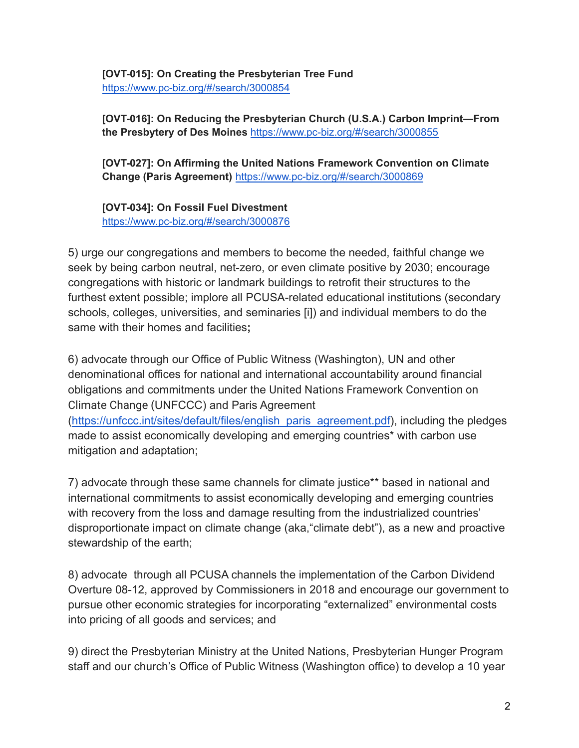**[OVT-015]: On Creating the Presbyterian Tree Fund** <https://www.pc-biz.org/#/search/3000854>

**[OVT-016]: On Reducing the Presbyterian Church (U.S.A.) Carbon Imprint—From the Presbytery of Des Moines** <https://www.pc-biz.org/#/search/3000855>

**[OVT-027]: On Affirming the United Nations Framework Convention on Climate Change (Paris Agreement)** <https://www.pc-biz.org/#/search/3000869>

**[OVT-034]: On Fossil Fuel Divestmen[t](https://www.pc-biz.org/#/search/3000876)** <https://www.pc-biz.org/#/search/3000876>

mitigation and adaptation;

stewardship of the earth;

5) urge our congregations and members to become the needed, faithful change we seek by being carbon neutral, net-zero, or even climate positive by 2030; encourage congregations with historic or landmark buildings to retrofit their structures to the furthest extent possible; implore all PCUSA-related educational institutions (secondary schools, colleges, universities, and seminaries [i]) and individual members to do the same with their homes and facilities**;**

6) advocate through our Office of Public Witness (Washington), UN and other denominational offices for national and international accountability around financial obligations and commitments under the United Nations Framework Convention on Climate Change (UNFCCC) and Paris Agreement ([https://unfccc.int/sites/default/files/english\\_paris\\_agreement.pdf\)](https://unfccc.int/sites/default/files/english_paris_agreement.pdf), including the pledges made to assist economically developing and emerging countries\* with carbon use

7) advocate through these same channels for climate justice\*\* based in national and international commitments to assist economically developing and emerging countries with recovery from the loss and damage resulting from the industrialized countries' disproportionate impact on climate change (aka,"climate debt"), as a new and proactive

8) advocate through all PCUSA channels the implementation of the Carbon Dividend Overture 08-12, approved by Commissioners in 2018 and encourage our government to pursue other economic strategies for incorporating "externalized" environmental costs into pricing of all goods and services; and

9) direct the Presbyterian Ministry at the United Nations, Presbyterian Hunger Program staff and our church's Office of Public Witness (Washington office) to develop a 10 year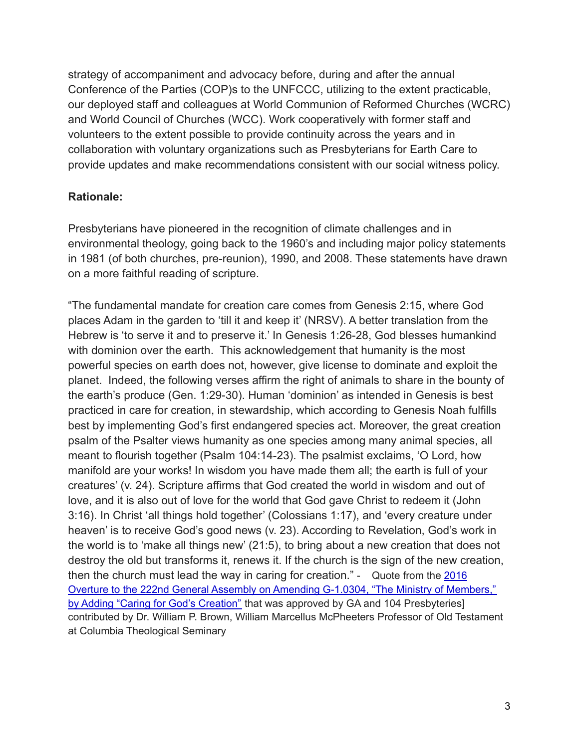strategy of accompaniment and advocacy before, during and after the annual Conference of the Parties (COP)s to the UNFCCC, utilizing to the extent practicable, our deployed staff and colleagues at World Communion of Reformed Churches (WCRC) and World Council of Churches (WCC). Work cooperatively with former staff and volunteers to the extent possible to provide continuity across the years and in collaboration with voluntary organizations such as Presbyterians for Earth Care to provide updates and make recommendations consistent with our social witness policy.

## **Rationale:**

Presbyterians have pioneered in the recognition of climate challenges and in environmental theology, going back to the 1960's and including major policy statements in 1981 (of both churches, pre-reunion), 1990, and 2008. These statements have drawn on a more faithful reading of scripture.

"The fundamental mandate for creation care comes from Genesis 2:15, where God places Adam in the garden to 'till it and keep it' (NRSV). A better translation from the Hebrew is 'to serve it and to preserve it.' In Genesis 1:26-28, God blesses humankind with dominion over the earth. This acknowledgement that humanity is the most powerful species on earth does not, however, give license to dominate and exploit the planet. Indeed, the following verses affirm the right of animals to share in the bounty of the earth's produce (Gen. 1:29-30). Human 'dominion' as intended in Genesis is best practiced in care for creation, in stewardship, which according to Genesis Noah fulfills best by implementing God's first endangered species act. Moreover, the great creation psalm of the Psalter views humanity as one species among many animal species, all meant to flourish together (Psalm 104:14-23). The psalmist exclaims, 'O Lord, how manifold are your works! In wisdom you have made them all; the earth is full of your creatures' (v. 24). Scripture affirms that God created the world in wisdom and out of love, and it is also out of love for the world that God gave Christ to redeem it (John 3:16). In Christ 'all things hold together' (Colossians 1:17), and 'every creature under heaven' is to receive God's good news (v. 23). According to Revelation, God's work in the world is to 'make all things new' (21:5), to bring about a new creation that does not destroy the old but transforms it, renews it. If the church is the sign of the new creation, then the church must lead the way in caring for creation." - Quote from the [2016](https://www.pc-biz.org/#/search/6285) Overture to the 222nd General Assembly on Amending G-1.0304, "The Ministry of [Members,"](https://www.pc-biz.org/#/search/6285) by Adding "Caring for God's [Creation"](https://www.pc-biz.org/#/search/6285) that was approved by GA and 104 Presbyteries] contributed by Dr. William P. Brown, William Marcellus McPheeters Professor of Old Testament at Columbia Theological Seminary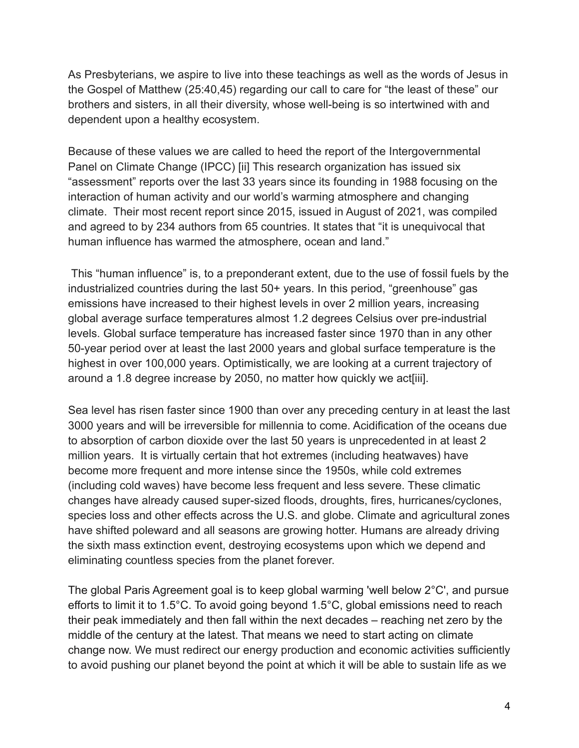As Presbyterians, we aspire to live into these teachings as well as the words of Jesus in the Gospel of Matthew (25:40,45) regarding our call to care for "the least of these" our brothers and sisters, in all their diversity, whose well-being is so intertwined with and dependent upon a healthy ecosystem.

Because of these values we are called to heed the report of the Intergovernmental Panel on Climate Change (IPCC) [ii] This research organization has issued six "assessment" reports over the last 33 years since its founding in 1988 focusing on the interaction of human activity and our world's warming atmosphere and changing climate. Their most recent report since 2015, issued in August of 2021, was compiled and agreed to by 234 authors from 65 countries. It states that "it is unequivocal that human influence has warmed the atmosphere, ocean and land."

This "human influence" is, to a preponderant extent, due to the use of fossil fuels by the industrialized countries during the last 50+ years. In this period, "greenhouse" gas emissions have increased to their highest levels in over 2 million years, increasing global average surface temperatures almost 1.2 degrees Celsius over pre-industrial levels. Global surface temperature has increased faster since 1970 than in any other 50-year period over at least the last 2000 years and global surface temperature is the highest in over 100,000 years. Optimistically, we are looking at a current trajectory of around a 1.8 degree increase by 2050, no matter how quickly we act[iii].

Sea level has risen faster since 1900 than over any preceding century in at least the last 3000 years and will be irreversible for millennia to come. Acidification of the oceans due to absorption of carbon dioxide over the last 50 years is unprecedented in at least 2 million years. It is virtually certain that hot extremes (including heatwaves) have become more frequent and more intense since the 1950s, while cold extremes (including cold waves) have become less frequent and less severe. These climatic changes have already caused super-sized floods, droughts, fires, hurricanes/cyclones, species loss and other effects across the U.S. and globe. Climate and agricultural zones have shifted poleward and all seasons are growing hotter. Humans are already driving the sixth mass extinction event, destroying ecosystems upon which we depend and eliminating countless species from the planet forever.

The global Paris Agreement goal is to keep global warming 'well below 2°C', and pursue efforts to limit it to 1.5°C. To avoid going beyond 1.5°C, global emissions need to reach their peak immediately and then fall within the next decades – reaching net zero by the middle of the century at the latest. That means we need to start acting on climate change now. We must redirect our energy production and economic activities sufficiently to avoid pushing our planet beyond the point at which it will be able to sustain life as we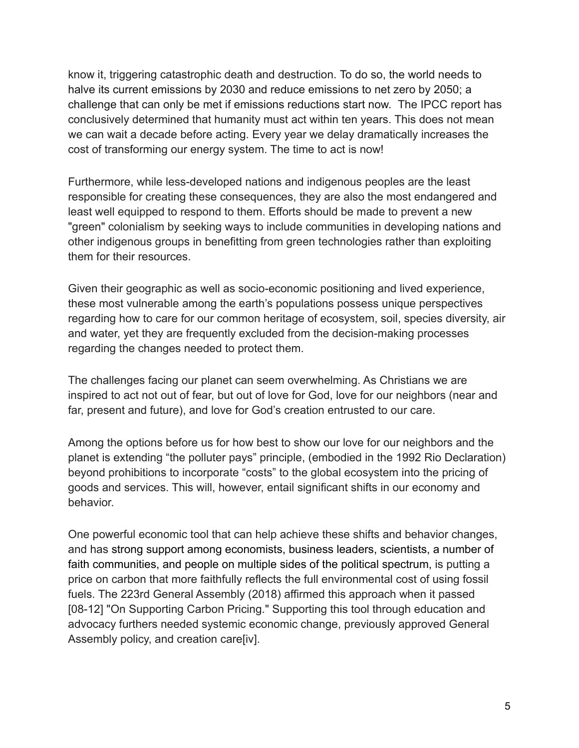know it, triggering catastrophic death and destruction. To do so, the world needs to halve its current emissions by 2030 and reduce emissions to net zero by 2050; a challenge that can only be met if emissions reductions start now. The IPCC report has conclusively determined that humanity must act within ten years. This does not mean we can wait a decade before acting. Every year we delay dramatically increases the cost of transforming our energy system. The time to act is now!

Furthermore, while less-developed nations and indigenous peoples are the least responsible for creating these consequences, they are also the most endangered and least well equipped to respond to them. Efforts should be made to prevent a new "green" colonialism by seeking ways to include communities in developing nations and other indigenous groups in benefitting from green technologies rather than exploiting them for their resources.

Given their geographic as well as socio-economic positioning and lived experience, these most vulnerable among the earth's populations possess unique perspectives regarding how to care for our common heritage of ecosystem, soil, species diversity, air and water, yet they are frequently excluded from the decision-making processes regarding the changes needed to protect them.

The challenges facing our planet can seem overwhelming. As Christians we are inspired to act not out of fear, but out of love for God, love for our neighbors (near and far, present and future), and love for God's creation entrusted to our care.

Among the options before us for how best to show our love for our neighbors and the planet is extending "the polluter pays" principle, (embodied in the 1992 Rio Declaration) beyond prohibitions to incorporate "costs" to the global ecosystem into the pricing of goods and services. This will, however, entail significant shifts in our economy and behavior.

One powerful economic tool that can help achieve these shifts and behavior changes, and has strong support among economists, business leaders, scientists, a number of faith communities, and people on multiple sides of the political spectrum, is putting a price on carbon that more faithfully reflects the full environmental cost of using fossil fuels. The 223rd General Assembly (2018) affirmed this approach when it passed [08-12] "On Supporting Carbon Pricing." Supporting this tool through education and advocacy furthers needed systemic economic change, previously approved General Assembly policy, and creation care[iv].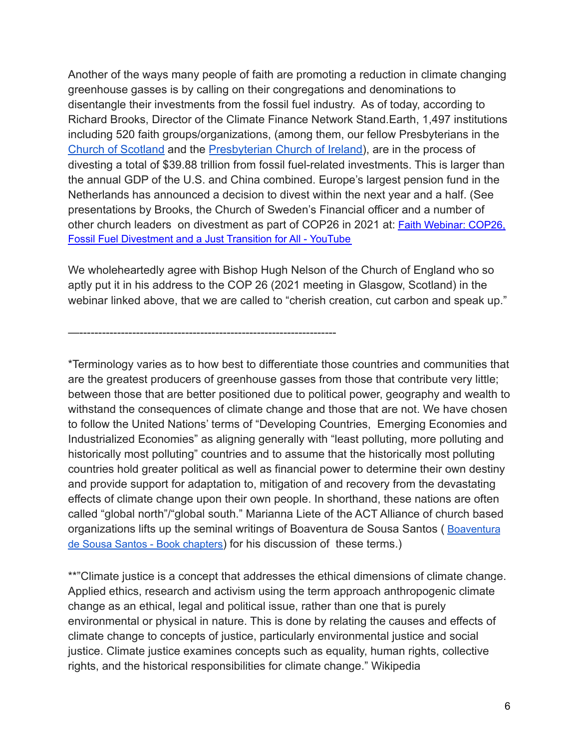Another of the ways many people of faith are promoting a reduction in climate changing greenhouse gasses is by calling on their congregations and denominations to disentangle their investments from the fossil fuel industry. As of today, according to Richard Brooks, Director of the Climate Finance Network Stand.Earth, 1,497 institutions including 520 faith groups/organizations, (among them, our fellow Presbyterians in the [Church of Scotland](https://brightnow.org.uk/news/church-of-scotland-divests-oil-and-gas-companies/) and the [Presbyterian Church of](https://www.rte.ie/news/2021/1026/1255807-fossil-fuel-divestment/) Ireland), are in the process of divesting a total of \$39.88 trillion from fossil fuel-related investments. This is larger than the annual GDP of the U.S. and China combined. Europe's largest pension fund in the Netherlands has announced a decision to divest within the next year and a half. (See presentations by Brooks, the Church of Sweden's Financial officer and a number of other church leaders on divestment as part of COP26 in 2021 at: Faith [Webinar:](https://www.youtube.com/watch?v=rTLKCmThOfk) COP26, Fossil Fuel [Divestment](https://www.youtube.com/watch?v=rTLKCmThOfk) and a Just Transition for All - YouTube

We wholeheartedly agree with Bishop Hugh Nelson of the Church of England who so aptly put it in his address to the COP 26 (2021 meeting in Glasgow, Scotland) in the webinar linked above, that we are called to "cherish creation, cut carbon and speak up."

—--------------------------------------------------------------------

\*Terminology varies as to how best to differentiate those countries and communities that are the greatest producers of greenhouse gasses from those that contribute very little; between those that are better positioned due to political power, geography and wealth to withstand the consequences of climate change and those that are not. We have chosen to follow the United Nations' terms of "Developing Countries, Emerging Economies and Industrialized Economies" as aligning generally with "least polluting, more polluting and historically most polluting" countries and to assume that the historically most polluting countries hold greater political as well as financial power to determine their own destiny and provide support for adaptation to, mitigation of and recovery from the devastating effects of climate change upon their own people. In shorthand, these nations are often called "global north"/"global south." Marianna Liete of the ACT Alliance of church based organizations lifts up the seminal writings of [Boaventura](http://www.boaventuradesousasantos.pt/pages/en/book-chapters.php) de Sousa Santos (Boaventura de Sousa Santos - Book [chapters](http://www.boaventuradesousasantos.pt/pages/en/book-chapters.php)) for his discussion of these terms.)

\*\*"Climate justice is a concept that addresses the ethical dimensions of climate change. Applied ethics, research and activism using the term approach anthropogenic climate change as an ethical, legal and political issue, rather than one that is purely environmental or physical in nature. This is done by relating the causes and effects of climate change to concepts of justice, particularly environmental justice and social justice. Climate justice examines concepts such as equality, human rights, collective rights, and the historical responsibilities for climate change." Wikipedia